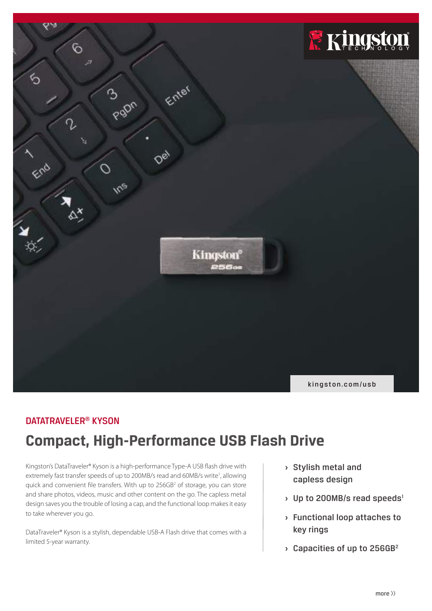

# DATATRAVELER® KYSON

# **Compact, High-Performance USB Flash Drive**

Kingston's DataTraveler® Kyson is a high-performance Type-A USB flash drive with extremely fast transfer speeds of up to 200MB/s read and 60MB/s write<sup>1</sup>, allowing quick and convenient file transfers. With up to 256GB<sup>2</sup> of storage, you can store and share photos, videos, music and other content on the go. The capless metal design saves you the trouble of losing a cap, and the functional loop makes it easy to take wherever you go.

DataTraveler® Kyson is a stylish, dependable USB-A Flash drive that comes with a limited 5-year warranty.

- **›** Stylish metal and capless design
- **>** Up to 200MB/s read speeds<sup>1</sup>
- **›** Functional loop attaches to key rings
- **›** Capacities of up to 256GB2